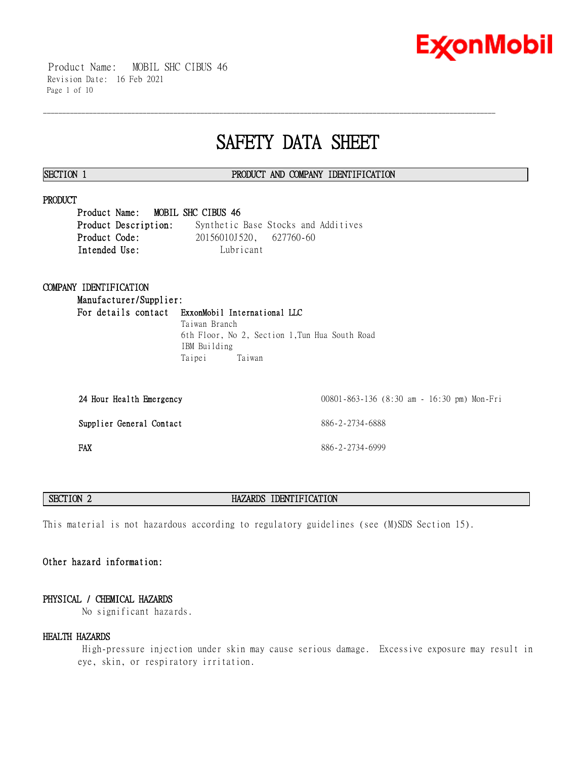

 Product Name: MOBIL SHC CIBUS 46 Revision Date: 16 Feb 2021 Page 1 of 10

# **SAFETY DATA SHEET**

\_\_\_\_\_\_\_\_\_\_\_\_\_\_\_\_\_\_\_\_\_\_\_\_\_\_\_\_\_\_\_\_\_\_\_\_\_\_\_\_\_\_\_\_\_\_\_\_\_\_\_\_\_\_\_\_\_\_\_\_\_\_\_\_\_\_\_\_\_\_\_\_\_\_\_\_\_\_\_\_\_\_\_\_\_\_\_\_\_\_\_\_\_\_\_\_\_\_\_\_\_\_\_\_\_\_\_\_\_\_\_\_\_\_\_\_\_\_

# **SECTION 1 PRODUCT AND COMPANY IDENTIFICATION**

# **PRODUCT**

**Product Name: MOBIL SHC CIBUS 46 Product Description:** Synthetic Base Stocks and Additives **Product Code:** 20156010J520, 627760-60 **Intended Use:** Lubricant

# **COMPANY IDENTIFICATION**

**Manufacturer/Supplier: For details contact ExxonMobil International LLC** Taiwan Branch

6th Floor, No 2, Section 1,Tun Hua South Road IBM Building Taipei Taiwan

| 24 Hour Health Emergency | 00801-863-136 (8:30 am - 16:30 pm) Mon-Fri |
|--------------------------|--------------------------------------------|
| Supplier General Contact | 886-2-2734-6888                            |
| <b>FAX</b>               | 886-2-2734-6999                            |

# **SECTION 2 HAZARDS IDENTIFICATION**

This material is not hazardous according to regulatory guidelines (see (M)SDS Section 15).

# **Other hazard information:**

# **PHYSICAL / CHEMICAL HAZARDS**

No significant hazards.

### **HEALTH HAZARDS**

 High-pressure injection under skin may cause serious damage. Excessive exposure may result in eye, skin, or respiratory irritation.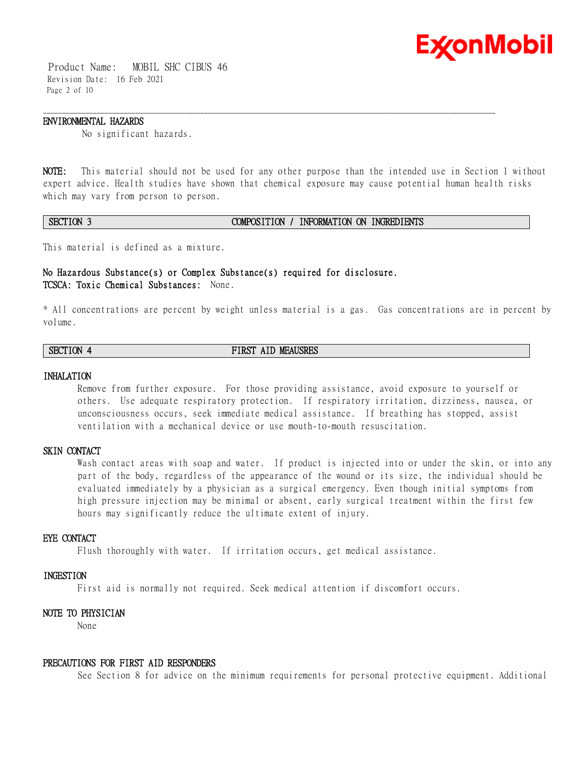

 Product Name: MOBIL SHC CIBUS 46 Revision Date: 16 Feb 2021 Page 2 of 10

#### **ENVIRONMENTAL HAZARDS**

No significant hazards.

**NOTE:** This material should not be used for any other purpose than the intended use in Section 1 without expert advice. Health studies have shown that chemical exposure may cause potential human health risks which may vary from person to person.

\_\_\_\_\_\_\_\_\_\_\_\_\_\_\_\_\_\_\_\_\_\_\_\_\_\_\_\_\_\_\_\_\_\_\_\_\_\_\_\_\_\_\_\_\_\_\_\_\_\_\_\_\_\_\_\_\_\_\_\_\_\_\_\_\_\_\_\_\_\_\_\_\_\_\_\_\_\_\_\_\_\_\_\_\_\_\_\_\_\_\_\_\_\_\_\_\_\_\_\_\_\_\_\_\_\_\_\_\_\_\_\_\_\_\_\_\_\_

## **SECTION 3 COMPOSITION / INFORMATION ON INGREDIENTS**

This material is defined as a mixture.

# **No Hazardous Substance(s) or Complex Substance(s) required for disclosure. TCSCA: Toxic Chemical Substances:** None.

\* All concentrations are percent by weight unless material is a gas. Gas concentrations are in percent by volume.

**SECTION 4 FIRST AID MEAUSRES**

#### **INHALATION**

Remove from further exposure. For those providing assistance, avoid exposure to yourself or others. Use adequate respiratory protection. If respiratory irritation, dizziness, nausea, or unconsciousness occurs, seek immediate medical assistance. If breathing has stopped, assist ventilation with a mechanical device or use mouth-to-mouth resuscitation.

# **SKIN CONTACT**

Wash contact areas with soap and water. If product is injected into or under the skin, or into any part of the body, regardless of the appearance of the wound or its size, the individual should be evaluated immediately by a physician as a surgical emergency. Even though initial symptoms from high pressure injection may be minimal or absent, early surgical treatment within the first few hours may significantly reduce the ultimate extent of injury.

### **EYE CONTACT**

Flush thoroughly with water. If irritation occurs, get medical assistance.

# **INGESTION**

First aid is normally not required. Seek medical attention if discomfort occurs.

# **NOTE TO PHYSICIAN**

None

#### **PRECAUTIONS FOR FIRST AID RESPONDERS**

See Section 8 for advice on the minimum requirements for personal protective equipment. Additional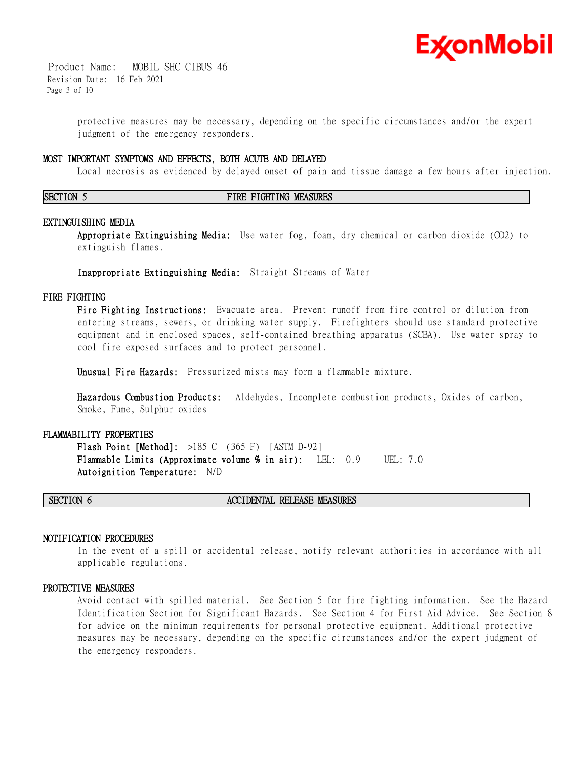

 Product Name: MOBIL SHC CIBUS 46 Revision Date: 16 Feb 2021 Page 3 of 10

> protective measures may be necessary, depending on the specific circumstances and/or the expert judgment of the emergency responders.

\_\_\_\_\_\_\_\_\_\_\_\_\_\_\_\_\_\_\_\_\_\_\_\_\_\_\_\_\_\_\_\_\_\_\_\_\_\_\_\_\_\_\_\_\_\_\_\_\_\_\_\_\_\_\_\_\_\_\_\_\_\_\_\_\_\_\_\_\_\_\_\_\_\_\_\_\_\_\_\_\_\_\_\_\_\_\_\_\_\_\_\_\_\_\_\_\_\_\_\_\_\_\_\_\_\_\_\_\_\_\_\_\_\_\_\_\_\_

#### **MOST IMPORTANT SYMPTOMS AND EFFECTS, BOTH ACUTE AND DELAYED**

Local necrosis as evidenced by delayed onset of pain and tissue damage a few hours after injection.

#### **SECTION 5 FIRE FIGHTING MEASURES**

#### **EXTINGUISHING MEDIA**

**Appropriate Extinguishing Media:** Use water fog, foam, dry chemical or carbon dioxide (CO2) to extinguish flames.

**Inappropriate Extinguishing Media:** Straight Streams of Water

### **FIRE FIGHTING**

**Fire Fighting Instructions:** Evacuate area. Prevent runoff from fire control or dilution from entering streams, sewers, or drinking water supply. Firefighters should use standard protective equipment and in enclosed spaces, self-contained breathing apparatus (SCBA). Use water spray to cool fire exposed surfaces and to protect personnel.

**Unusual Fire Hazards:** Pressurized mists may form a flammable mixture.

**Hazardous Combustion Products:** Aldehydes, Incomplete combustion products, Oxides of carbon, Smoke, Fume, Sulphur oxides

# **FLAMMABILITY PROPERTIES**

**Flash Point [Method]:** >185 C (365 F) [ASTM D-92] **Flammable Limits (Approximate volume % in air):** LEL: 0.9 UEL: 7.0 **Autoignition Temperature:** N/D

## **SECTION 6 ACCIDENTAL RELEASE MEASURES**

### **NOTIFICATION PROCEDURES**

In the event of a spill or accidental release, notify relevant authorities in accordance with all applicable regulations.

#### **PROTECTIVE MEASURES**

Avoid contact with spilled material. See Section 5 for fire fighting information. See the Hazard Identification Section for Significant Hazards. See Section 4 for First Aid Advice. See Section 8 for advice on the minimum requirements for personal protective equipment. Additional protective measures may be necessary, depending on the specific circumstances and/or the expert judgment of the emergency responders.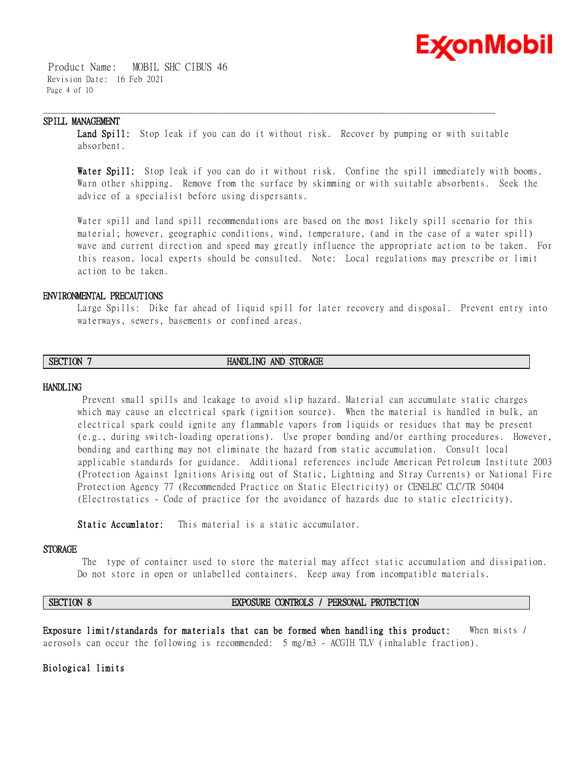

 Product Name: MOBIL SHC CIBUS 46 Revision Date: 16 Feb 2021 Page 4 of 10

### **SPILL MANAGEMENT**

**Land Spill:** Stop leak if you can do it without risk. Recover by pumping or with suitable absorbent.

\_\_\_\_\_\_\_\_\_\_\_\_\_\_\_\_\_\_\_\_\_\_\_\_\_\_\_\_\_\_\_\_\_\_\_\_\_\_\_\_\_\_\_\_\_\_\_\_\_\_\_\_\_\_\_\_\_\_\_\_\_\_\_\_\_\_\_\_\_\_\_\_\_\_\_\_\_\_\_\_\_\_\_\_\_\_\_\_\_\_\_\_\_\_\_\_\_\_\_\_\_\_\_\_\_\_\_\_\_\_\_\_\_\_\_\_\_\_

**Water Spill:** Stop leak if you can do it without risk. Confine the spill immediately with booms. Warn other shipping. Remove from the surface by skimming or with suitable absorbents. Seek the advice of a specialist before using dispersants.

Water spill and land spill recommendations are based on the most likely spill scenario for this material; however, geographic conditions, wind, temperature, (and in the case of a water spill) wave and current direction and speed may greatly influence the appropriate action to be taken. For this reason, local experts should be consulted. Note: Local regulations may prescribe or limit action to be taken.

# **ENVIRONMENTAL PRECAUTIONS**

Large Spills: Dike far ahead of liquid spill for later recovery and disposal. Prevent entry into waterways, sewers, basements or confined areas.

# **SECTION 7 HANDLING AND STORAGE**

#### **HANDLING**

 Prevent small spills and leakage to avoid slip hazard. Material can accumulate static charges which may cause an electrical spark (ignition source). When the material is handled in bulk, an electrical spark could ignite any flammable vapors from liquids or residues that may be present (e.g., during switch-loading operations). Use proper bonding and/or earthing procedures. However, bonding and earthing may not eliminate the hazard from static accumulation. Consult local applicable standards for guidance. Additional references include American Petroleum Institute 2003 (Protection Against Ignitions Arising out of Static, Lightning and Stray Currents) or National Fire Protection Agency 77 (Recommended Practice on Static Electricity) or CENELEC CLC/TR 50404 (Electrostatics - Code of practice for the avoidance of hazards due to static electricity).

**Static Accumlator:** This material is a static accumulator.

#### **STORAGE**

 The type of container used to store the material may affect static accumulation and dissipation. Do not store in open or unlabelled containers. Keep away from incompatible materials.

# **SECTION 8 EXPOSURE CONTROLS / PERSONAL PROTECTION**

**Exposure limit/standards for materials that can be formed when handling this product:** When mists / aerosols can occur the following is recommended: 5 mg/m3 - ACGIH TLV (inhalable fraction).

**Biological limits**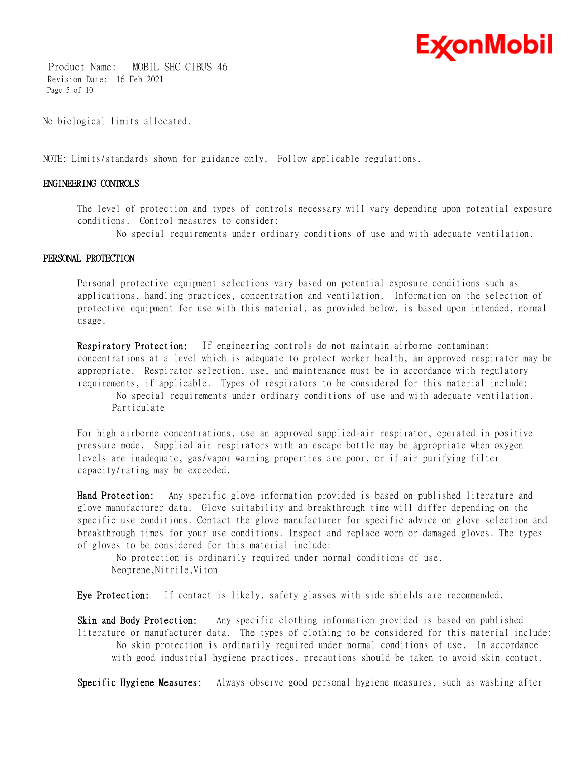

 Product Name: MOBIL SHC CIBUS 46 Revision Date: 16 Feb 2021 Page 5 of 10

No biological limits allocated.

NOTE: Limits/standards shown for guidance only. Follow applicable regulations.

\_\_\_\_\_\_\_\_\_\_\_\_\_\_\_\_\_\_\_\_\_\_\_\_\_\_\_\_\_\_\_\_\_\_\_\_\_\_\_\_\_\_\_\_\_\_\_\_\_\_\_\_\_\_\_\_\_\_\_\_\_\_\_\_\_\_\_\_\_\_\_\_\_\_\_\_\_\_\_\_\_\_\_\_\_\_\_\_\_\_\_\_\_\_\_\_\_\_\_\_\_\_\_\_\_\_\_\_\_\_\_\_\_\_\_\_\_\_

# **ENGINEERING CONTROLS**

The level of protection and types of controls necessary will vary depending upon potential exposure conditions. Control measures to consider:

No special requirements under ordinary conditions of use and with adequate ventilation.

# **PERSONAL PROTECTION**

Personal protective equipment selections vary based on potential exposure conditions such as applications, handling practices, concentration and ventilation. Information on the selection of protective equipment for use with this material, as provided below, is based upon intended, normal usage.

**Respiratory Protection:** If engineering controls do not maintain airborne contaminant concentrations at a level which is adequate to protect worker health, an approved respirator may be appropriate. Respirator selection, use, and maintenance must be in accordance with regulatory requirements, if applicable. Types of respirators to be considered for this material include: No special requirements under ordinary conditions of use and with adequate ventilation. Particulate

For high airborne concentrations, use an approved supplied-air respirator, operated in positive pressure mode. Supplied air respirators with an escape bottle may be appropriate when oxygen levels are inadequate, gas/vapor warning properties are poor, or if air purifying filter capacity/rating may be exceeded.

**Hand Protection:** Any specific glove information provided is based on published literature and glove manufacturer data. Glove suitability and breakthrough time will differ depending on the specific use conditions. Contact the glove manufacturer for specific advice on glove selection and breakthrough times for your use conditions. Inspect and replace worn or damaged gloves. The types of gloves to be considered for this material include:

 No protection is ordinarily required under normal conditions of use. Neoprene,Nitrile,Viton

**Eye Protection:** If contact is likely, safety glasses with side shields are recommended.

**Skin and Body Protection:** Any specific clothing information provided is based on published literature or manufacturer data. The types of clothing to be considered for this material include: No skin protection is ordinarily required under normal conditions of use. In accordance with good industrial hygiene practices, precautions should be taken to avoid skin contact.

**Specific Hygiene Measures:** Always observe good personal hygiene measures, such as washing after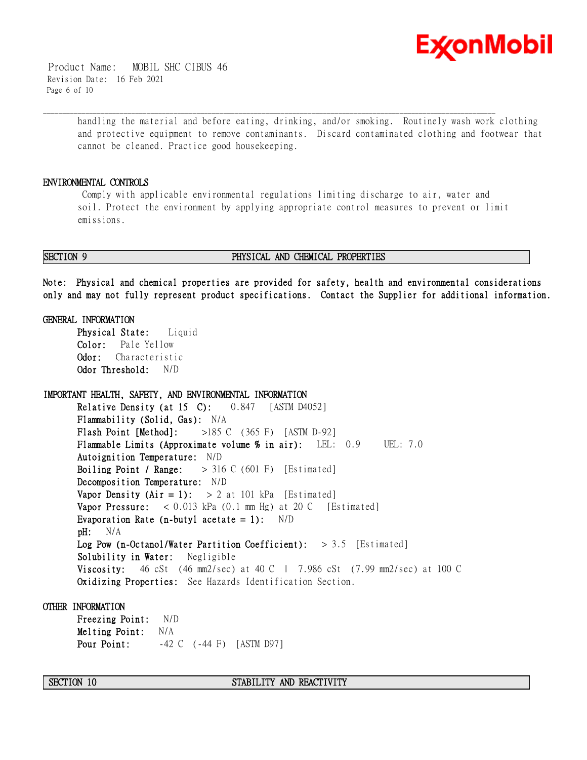

 Product Name: MOBIL SHC CIBUS 46 Revision Date: 16 Feb 2021 Page 6 of 10

> handling the material and before eating, drinking, and/or smoking. Routinely wash work clothing and protective equipment to remove contaminants. Discard contaminated clothing and footwear that cannot be cleaned. Practice good housekeeping.

# **ENVIRONMENTAL CONTROLS**

 Comply with applicable environmental regulations limiting discharge to air, water and soil. Protect the environment by applying appropriate control measures to prevent or limit emissions.

\_\_\_\_\_\_\_\_\_\_\_\_\_\_\_\_\_\_\_\_\_\_\_\_\_\_\_\_\_\_\_\_\_\_\_\_\_\_\_\_\_\_\_\_\_\_\_\_\_\_\_\_\_\_\_\_\_\_\_\_\_\_\_\_\_\_\_\_\_\_\_\_\_\_\_\_\_\_\_\_\_\_\_\_\_\_\_\_\_\_\_\_\_\_\_\_\_\_\_\_\_\_\_\_\_\_\_\_\_\_\_\_\_\_\_\_\_\_

#### **SECTION 9 PHYSICAL AND CHEMICAL PROPERTIES**

**Note: Physical and chemical properties are provided for safety, health and environmental considerations only and may not fully represent product specifications. Contact the Supplier for additional information.**

### **GENERAL INFORMATION**

**Physical State:** Liquid **Color:** Pale Yellow **Odor:** Characteristic **Odor Threshold:** N/D

**IMPORTANT HEALTH, SAFETY, AND ENVIRONMENTAL INFORMATION Relative Density (at 15 C):** 0.847 [ASTM D4052] **Flammability (Solid, Gas):** N/A **Flash Point [Method]:** >185 C (365 F) [ASTM D-92] **Flammable Limits (Approximate volume % in air):** LEL: 0.9 UEL: 7.0 **Autoignition Temperature:** N/D **Boiling Point / Range:** > 316 C (601 F) [Estimated] **Decomposition Temperature:** N/D **Vapor Density (Air = 1):**  $> 2$  at 101 kPa [Estimated] **Vapor Pressure:** < 0.013 kPa (0.1 mm Hg) at 20 C [Estimated] **Evaporation Rate (n-butyl acetate = 1):** N/D **pH:** N/A **Log Pow (n-Octanol/Water Partition Coefficient):** > 3.5 [Estimated] **Solubility in Water:** Negligible **Viscosity:** 46 cSt (46 mm2/sec) at 40 C | 7.986 cSt (7.99 mm2/sec) at 100 C **Oxidizing Properties:** See Hazards Identification Section.

**OTHER INFORMATION**

**Freezing Point:** N/D **Melting Point:** N/A **Pour Point:**  $-42$  C ( $-44$  F) [ASTM D97]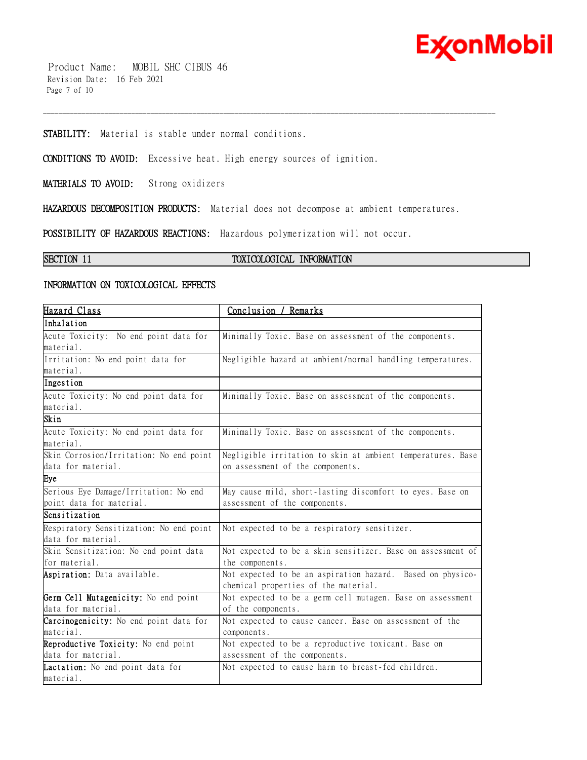

 Product Name: MOBIL SHC CIBUS 46 Revision Date: 16 Feb 2021 Page 7 of 10

**STABILITY:** Material is stable under normal conditions.

**CONDITIONS TO AVOID:** Excessive heat. High energy sources of ignition.

**MATERIALS TO AVOID:** Strong oxidizers

**HAZARDOUS DECOMPOSITION PRODUCTS:** Material does not decompose at ambient temperatures.

\_\_\_\_\_\_\_\_\_\_\_\_\_\_\_\_\_\_\_\_\_\_\_\_\_\_\_\_\_\_\_\_\_\_\_\_\_\_\_\_\_\_\_\_\_\_\_\_\_\_\_\_\_\_\_\_\_\_\_\_\_\_\_\_\_\_\_\_\_\_\_\_\_\_\_\_\_\_\_\_\_\_\_\_\_\_\_\_\_\_\_\_\_\_\_\_\_\_\_\_\_\_\_\_\_\_\_\_\_\_\_\_\_\_\_\_\_\_

**POSSIBILITY OF HAZARDOUS REACTIONS:** Hazardous polymerization will not occur.

# **SECTION 11 TOXICOLOGICAL INFORMATION**

# **INFORMATION ON TOXICOLOGICAL EFFECTS**

| Hazard Class                            | Conclusion / Remarks                                        |
|-----------------------------------------|-------------------------------------------------------------|
| Inhalation                              |                                                             |
| Acute Toxicity: No end point data for   | Minimally Toxic. Base on assessment of the components.      |
| material.                               |                                                             |
| Irritation: No end point data for       | Negligible hazard at ambient/normal handling temperatures.  |
| material.                               |                                                             |
| Ingestion                               |                                                             |
| Acute Toxicity: No end point data for   | Minimally Toxic. Base on assessment of the components.      |
| material.                               |                                                             |
| Skin                                    |                                                             |
| Acute Toxicity: No end point data for   | Minimally Toxic. Base on assessment of the components.      |
| material.                               |                                                             |
| Skin Corrosion/Irritation: No end point | Negligible irritation to skin at ambient temperatures. Base |
| data for material.                      | on assessment of the components.                            |
| Eye                                     |                                                             |
| Serious Eye Damage/Irritation: No end   | May cause mild, short-lasting discomfort to eyes. Base on   |
| point data for material.                | assessment of the components.                               |
| Sensitization                           |                                                             |
| Respiratory Sensitization: No end point | Not expected to be a respiratory sensitizer.                |
| data for material.                      |                                                             |
| Skin Sensitization: No end point data   | Not expected to be a skin sensitizer. Base on assessment of |
| for material.                           | the components.                                             |
| Aspiration: Data available.             | Not expected to be an aspiration hazard. Based on physico-  |
|                                         | chemical properties of the material.                        |
| Germ Cell Mutagenicity: No end point    | Not expected to be a germ cell mutagen. Base on assessment  |
| data for material.                      | of the components.                                          |
| Carcinogenicity: No end point data for  | Not expected to cause cancer. Base on assessment of the     |
| material.                               | components.                                                 |
| Reproductive Toxicity: No end point     | Not expected to be a reproductive toxicant. Base on         |
| data for material.                      | assessment of the components.                               |
| Lactation: No end point data for        | Not expected to cause harm to breast-fed children.          |
| material.                               |                                                             |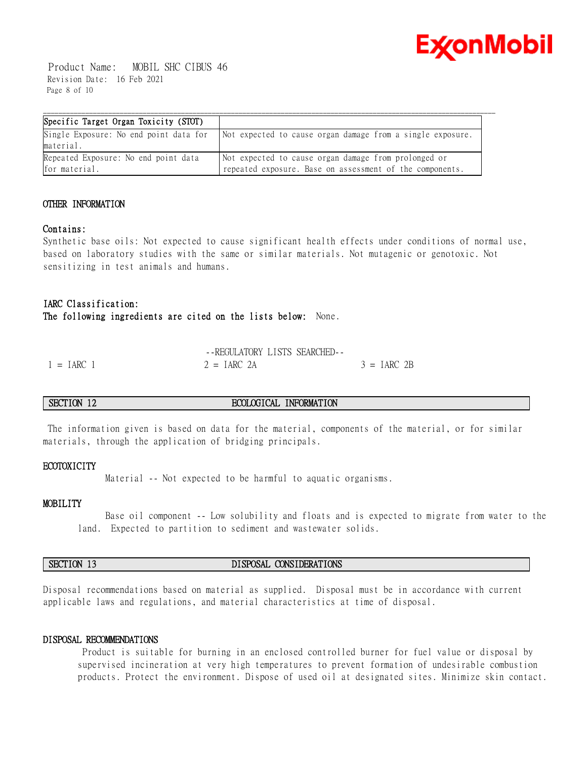

 Product Name: MOBIL SHC CIBUS 46 Revision Date: 16 Feb 2021 Page 8 of 10

| Specific Target Organ Toxicity (STOT)                 |                                                                                                                  |
|-------------------------------------------------------|------------------------------------------------------------------------------------------------------------------|
| Single Exposure: No end point data for<br>material.   | Not expected to cause organ damage from a single exposure.                                                       |
| Repeated Exposure: No end point data<br>for material. | Not expected to cause organ damage from prolonged or<br>repeated exposure. Base on assessment of the components. |

# **OTHER INFORMATION**

# **Contains:**

Synthetic base oils: Not expected to cause significant health effects under conditions of normal use, based on laboratory studies with the same or similar materials. Not mutagenic or genotoxic. Not sensitizing in test animals and humans.

# **IARC Classification:**

**The following ingredients are cited on the lists below:** None.

|            | -FREGULATORY LISTS SEARCHED- |               |
|------------|------------------------------|---------------|
| $= IARC$ 1 | $2 = IARC 2A$                | $3 = IARC 2B$ |

# **SECTION 12 ECOLOGICAL INFORMATION**

 The information given is based on data for the material, components of the material, or for similar materials, through the application of bridging principals.

# **ECOTOXICITY**

Material -- Not expected to be harmful to aquatic organisms.

### **MOBILITY**

 Base oil component -- Low solubility and floats and is expected to migrate from water to the land. Expected to partition to sediment and wastewater solids.

# **SECTION 13 DISPOSAL CONSIDERATIONS**

Disposal recommendations based on material as supplied. Disposal must be in accordance with current applicable laws and regulations, and material characteristics at time of disposal.

# **DISPOSAL RECOMMENDATIONS**

 Product is suitable for burning in an enclosed controlled burner for fuel value or disposal by supervised incineration at very high temperatures to prevent formation of undesirable combustion products. Protect the environment. Dispose of used oil at designated sites. Minimize skin contact.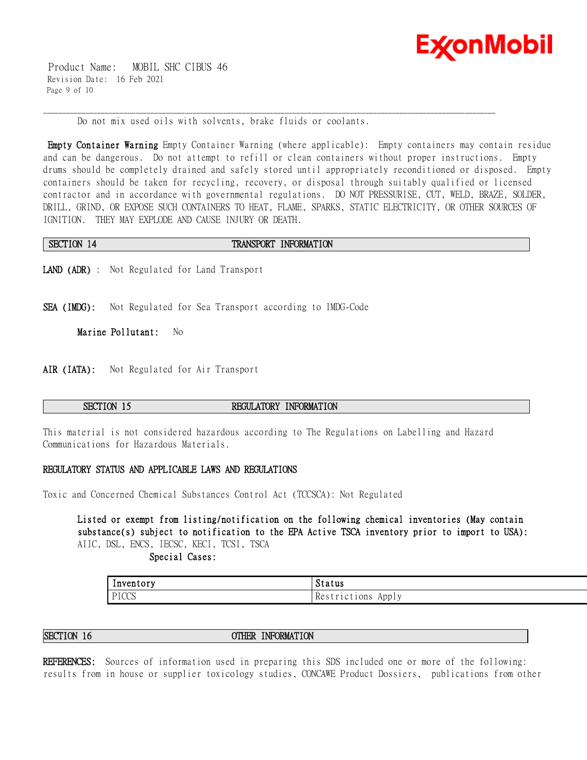

 Product Name: MOBIL SHC CIBUS 46 Revision Date: 16 Feb 2021 Page 9 of 10

Do not mix used oils with solvents, brake fluids or coolants.

**Empty Container Warning** Empty Container Warning (where applicable): Empty containers may contain residue and can be dangerous. Do not attempt to refill or clean containers without proper instructions. Empty drums should be completely drained and safely stored until appropriately reconditioned or disposed. Empty containers should be taken for recycling, recovery, or disposal through suitably qualified or licensed contractor and in accordance with governmental regulations. DO NOT PRESSURISE, CUT, WELD, BRAZE, SOLDER, DRILL, GRIND, OR EXPOSE SUCH CONTAINERS TO HEAT, FLAME, SPARKS, STATIC ELECTRICITY, OR OTHER SOURCES OF IGNITION. THEY MAY EXPLODE AND CAUSE INJURY OR DEATH.

\_\_\_\_\_\_\_\_\_\_\_\_\_\_\_\_\_\_\_\_\_\_\_\_\_\_\_\_\_\_\_\_\_\_\_\_\_\_\_\_\_\_\_\_\_\_\_\_\_\_\_\_\_\_\_\_\_\_\_\_\_\_\_\_\_\_\_\_\_\_\_\_\_\_\_\_\_\_\_\_\_\_\_\_\_\_\_\_\_\_\_\_\_\_\_\_\_\_\_\_\_\_\_\_\_\_\_\_\_\_\_\_\_\_\_\_\_\_

# **SECTION 14 TRANSPORT INFORMATION**

**LAND (ADR)** : Not Regulated for Land Transport

**SEA (IMDG):** Not Regulated for Sea Transport according to IMDG-Code

**Marine Pollutant:** No

**AIR (IATA):** Not Regulated for Air Transport

# **SECTION 15 REGULATORY INFORMATION**

This material is not considered hazardous according to The Regulations on Labelling and Hazard Communications for Hazardous Materials.

#### **REGULATORY STATUS AND APPLICABLE LAWS AND REGULATIONS**

Toxic and Concerned Chemical Substances Control Act (TCCSCA): Not Regulated

**Listed or exempt from listing/notification on the following chemical inventories (May contain substance(s) subject to notification to the EPA Active TSCA inventory prior to import to USA):**  AIIC, DSL, ENCS, IECSC, KECI, TCSI, TSCA

 **Special Cases:**

| $\overline{\phantom{a}}$<br>Inventory | Status                                               |
|---------------------------------------|------------------------------------------------------|
| PICCS                                 | $\mathbf$<br>1Ct10ns<br>Apply<br>Res<br>- 100<br>. . |

**SECTION 16 OTHER INFORMATION**

**REFERENCES:** Sources of information used in preparing this SDS included one or more of the following: results from in house or supplier toxicology studies, CONCAWE Product Dossiers, publications from other